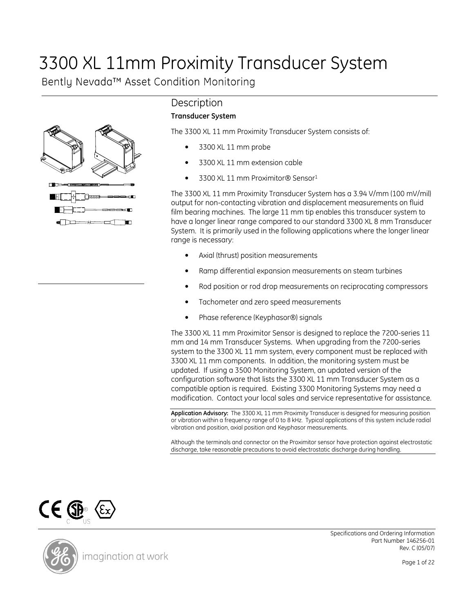# 3300 XL 11mm Proximity Transducer System

Bently Nevada™ Asset Condition Monitoring



# **Description**

#### Transducer System

The 3300 XL 11 mm Proximity Transducer System consists of:

- 3300 XL 11 mm probe
- 3300 XL 11 mm extension cable
- 3300 XL 11 mm Proximitor® Sensor<sup>1</sup>

The 3300 XL 11 mm Proximity Transducer System has a 3.94 V/mm (100 mV/mil) output for non-contacting vibration and displacement measurements on fluid film bearing machines. The large 11 mm tip enables this transducer system to have a longer linear range compared to our standard 3300 XL 8 mm Transducer System. It is primarily used in the following applications where the longer linear range is necessary:

- Axial (thrust) position measurements
- Ramp differential expansion measurements on steam turbines
- Rod position or rod drop measurements on reciprocating compressors
- Tachometer and zero speed measurements
- Phase reference (Keyphasor®) signals

The 3300 XL 11 mm Proximitor Sensor is designed to replace the 7200-series 11 mm and 14 mm Transducer Systems. When upgrading from the 7200-series system to the 3300 XL 11 mm system, every component must be replaced with 3300 XL 11 mm components. In addition, the monitoring system must be updated. If using a 3500 Monitoring System, an updated version of the configuration software that lists the 3300 XL 11 mm Transducer System as a compatible option is required. Existing 3300 Monitoring Systems may need a modification. Contact your local sales and service representative for assistance.

Application Advisory: The 3300 XL 11 mm Proximity Transducer is designed for measuring position or vibration within a frequency range of 0 to 8 kHz. Typical applications of this system include radial vibration and position, axial position and Keyphasor measurements.

Although the terminals and connector on the Proximitor sensor have protection against electrostatic discharge, take reasonable precautions to avoid electrostatic discharge during handling.





Specifications and Ordering Information Part Number 146256-01 Rev. C (05/07)

Page 1 of 22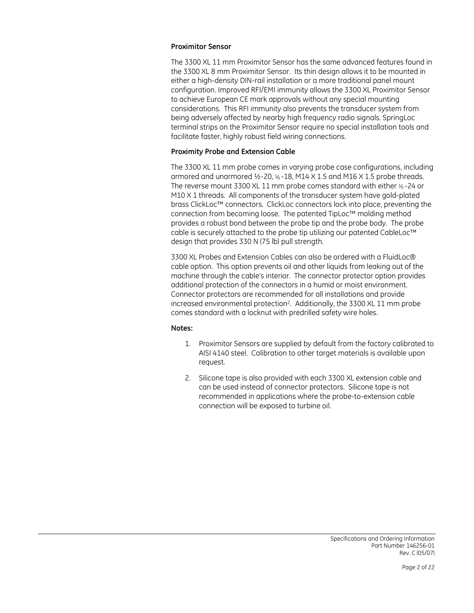#### Proximitor Sensor

The 3300 XL 11 mm Proximitor Sensor has the same advanced features found in the 3300 XL 8 mm Proximitor Sensor. Its thin design allows it to be mounted in either a high-density DIN-rail installation or a more traditional panel mount configuration. Improved RFI/EMI immunity allows the 3300 XL Proximitor Sensor to achieve European CE mark approvals without any special mounting considerations. This RFI immunity also prevents the transducer system from being adversely affected by nearby high frequency radio signals. SpringLoc terminal strips on the Proximitor Sensor require no special installation tools and facilitate faster, highly robust field wiring connections.

#### Proximity Probe and Extension Cable

The 3300 XL 11 mm probe comes in varying probe case configurations, including armored and unarmored  $\frac{1}{2}$ -20,  $\frac{5}{8}$ -18, M14 X 1.5 and M16 X 1.5 probe threads. The reverse mount 3300 XL 11 mm probe comes standard with either <sup>3</sup> ⁄8 -24 or M10 X 1 threads. All components of the transducer system have gold-plated brass ClickLoc™ connectors. ClickLoc connectors lock into place, preventing the connection from becoming loose. The patented TipLoc™ molding method provides a robust bond between the probe tip and the probe body. The probe cable is securely attached to the probe tip utilizing our patented CableLoc™ design that provides 330 N (75 lb) pull strength.

3300 XL Probes and Extension Cables can also be ordered with a FluidLoc® cable option. This option prevents oil and other liquids from leaking out of the machine through the cable's interior. The connector protector option provides additional protection of the connectors in a humid or moist environment. Connector protectors are recommended for all installations and provide increased environmental protection2. Additionally, the 3300 XL 11 mm probe comes standard with a locknut with predrilled safety wire holes.

#### Notes:

- 1. Proximitor Sensors are supplied by default from the factory calibrated to AISI 4140 steel. Calibration to other target materials is available upon request.
- 2. Silicone tape is also provided with each 3300 XL extension cable and can be used instead of connector protectors. Silicone tape is not recommended in applications where the probe-to-extension cable connection will be exposed to turbine oil.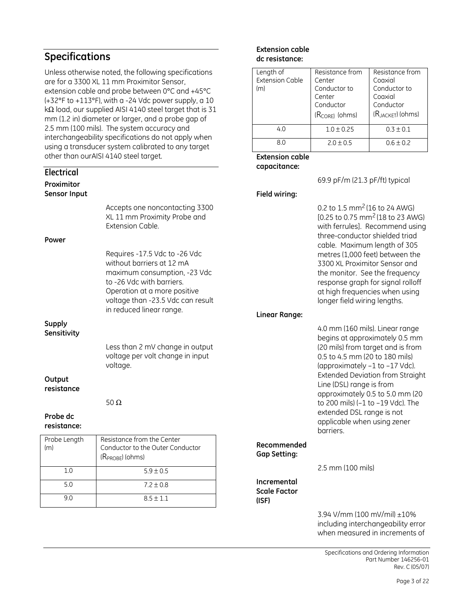### Specifications

Electrical

Unless otherwise noted, the following specifications are for a 3300 XL 11 mm Proximitor Sensor, extension cable and probe between 0°C and +45°C (+32°F to +113°F), with a -24 Vdc power supply, a 10 kΩ load, our supplied AISI 4140 steel target that is 31 mm (1.2 in) diameter or larger, and a probe gap of 2.5 mm (100 mils). The system accuracy and interchangeability specifications do not apply when using a transducer system calibrated to any target other than ourAISI 4140 steel target.

| LICLUILUI<br>Proximitor      |                                                                                                                                                                                                                                                                                    |                                    | 69.9 pF/m (21.3 pF/ft) typical                                                                                                                                                                                                                                                                                                                                                                              |
|------------------------------|------------------------------------------------------------------------------------------------------------------------------------------------------------------------------------------------------------------------------------------------------------------------------------|------------------------------------|-------------------------------------------------------------------------------------------------------------------------------------------------------------------------------------------------------------------------------------------------------------------------------------------------------------------------------------------------------------------------------------------------------------|
| Sensor Input<br>Power        | Accepts one noncontacting 3300<br>XL 11 mm Proximity Probe and<br>Extension Cable.<br>Requires -17.5 Vdc to -26 Vdc<br>without barriers at 12 mA<br>maximum consumption, -23 Vdc<br>to -26 Vdc with barriers.<br>Operation at a more positive<br>voltage than -23.5 Vdc can result | Field wiring:                      | 0.2 to 1.5 mm <sup>2</sup> (16 to 24 AWG)<br>[0.25 to 0.75 mm <sup>2</sup> (18 to 23 AWG)<br>with ferrules]. Recommend using<br>three-conductor shielded triad<br>cable. Maximum length of 305<br>metres (1,000 feet) between the<br>3300 XL Proximitor Sensor and<br>the monitor. See the frequency<br>response graph for signal rolloff<br>at high frequencies when using<br>longer field wiring lengths. |
|                              | in reduced linear range.                                                                                                                                                                                                                                                           | Linear Range:                      |                                                                                                                                                                                                                                                                                                                                                                                                             |
| <b>Supply</b><br>Sensitivity | Less than 2 mV change in output<br>voltage per volt change in input<br>voltage.                                                                                                                                                                                                    |                                    | 4.0 mm (160 mils). Linear range<br>begins at approximately 0.5 mm<br>(20 mils) from target and is from<br>0.5 to 4.5 mm (20 to 180 mils)<br>(approximately -1 to -17 Vdc).<br><b>Extended Deviation from Straight</b>                                                                                                                                                                                       |
| Output<br>resistance         | 50 $\Omega$                                                                                                                                                                                                                                                                        |                                    | Line (DSL) range is from<br>approximately 0.5 to 5.0 mm (20<br>to 200 mils) (-1 to -19 Vdc). The                                                                                                                                                                                                                                                                                                            |
| Probe dc<br>resistance:      |                                                                                                                                                                                                                                                                                    |                                    | extended DSL range is not<br>applicable when using zener<br>barriers.                                                                                                                                                                                                                                                                                                                                       |
| Probe Length<br>(m)          | Resistance from the Center<br>Conductor to the Outer Conductor<br>(R <sub>PROBE</sub> ) (ohms)                                                                                                                                                                                     | Recommended<br><b>Gap Setting:</b> |                                                                                                                                                                                                                                                                                                                                                                                                             |
| 1.0                          | $5.9 \pm 0.5$                                                                                                                                                                                                                                                                      |                                    | 2.5 mm (100 mils)                                                                                                                                                                                                                                                                                                                                                                                           |
| 5.0                          | $7.2 \pm 0.8$                                                                                                                                                                                                                                                                      | Incremental<br><b>Scale Factor</b> |                                                                                                                                                                                                                                                                                                                                                                                                             |
| 9.0                          | $8.5 \pm 1.1$                                                                                                                                                                                                                                                                      | (ISF)                              |                                                                                                                                                                                                                                                                                                                                                                                                             |
|                              |                                                                                                                                                                                                                                                                                    |                                    |                                                                                                                                                                                                                                                                                                                                                                                                             |

Extension cable dc resistance:

Extension cable capacitance:

Resistance from

4.0  $1.0 \pm 0.25$   $0.3 \pm 0.1$ 8.0 2.0  $\pm$  0.5 0.6  $\pm$  0.2

Resistance from Coaxial Conductor to Coaxial Conductor (RJACKET) (ohms)

Center Conductor to Center Conductor (RCORE) (ohms)

Length of Extension Cable

 $(m)$ 

3.94 V/mm (100 mV/mil) ±10% including interchangeability error when measured in increments of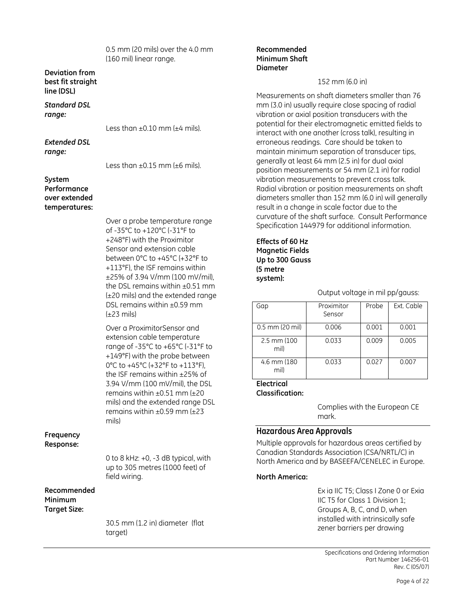0.5 mm (20 mils) over the 4.0 mm (160 mil) linear range.

#### Deviation from best fit straight line (DSL)

Standard DSL range:

Less than  $\pm 0.10$  mm ( $\pm 4$  mils).

Extended DSL range:

Less than  $\pm 0.15$  mm ( $\pm 6$  mils).

#### System Performance over extended temperatures:

Over a probe temperature range of -35°C to +120°C (-31°F to +248°F) with the Proximitor Sensor and extension cable between 0°C to +45°C (+32°F to +113°F), the ISF remains within ±25% of 3.94 V/mm (100 mV/mil), the DSL remains within ±0.51 mm (±20 mils) and the extended range DSL remains within ±0.59 mm  $(\pm 23 \text{ miles})$ 

Over a ProximitorSensor and extension cable temperature range of -35°C to +65°C (-31°F to +149°F) with the probe between 0°C to +45°C (+32°F to +113°F), the ISF remains within ±25% of 3.94 V/mm (100 mV/mil), the DSL remains within  $\pm 0.51$  mm ( $\pm 20$ mils) and the extended range DSL remains within  $\pm 0.59$  mm ( $\pm 23$ mils)

#### Frequency Response:

0 to 8 kHz: +0, -3 dB typical, with up to 305 metres (1000 feet) of field wiring.

#### Recommended Minimum Target Size:

30.5 mm (1.2 in) diameter (flat target)

#### Recommended Minimum Shaft Diameter

#### 152 mm (6.0 in)

Measurements on shaft diameters smaller than 76 mm (3.0 in) usually require close spacing of radial vibration or axial position transducers with the potential for their electromagnetic emitted fields to interact with one another (cross talk), resulting in erroneous readings. Care should be taken to maintain minimum separation of transducer tips, generally at least 64 mm (2.5 in) for dual axial position measurements or 54 mm (2.1 in) for radial vibration measurements to prevent cross talk. Radial vibration or position measurements on shaft diameters smaller than 152 mm (6.0 in) will generally result in a change in scale factor due to the curvature of the shaft surface. Consult Performance Specification 144979 for additional information.

#### Effects of 60 Hz Magnetic Fields Up to 300 Gauss (5 metre system):

Output voltage in mil pp/gauss:

| Gap                  | Proximitor<br>Sensor | Probe | Ext. Cable |
|----------------------|----------------------|-------|------------|
| $0.5$ mm (20 mil)    | 0.006                | 0.001 | 0.001      |
| 2.5 mm (100)<br>mil) | 0.033                | 0.009 | 0.005      |
| 4.6 mm (180)<br>mil) | 0.033                | 0.027 | 0.007      |

### Electrical

Classification:

Complies with the European CE mark.

#### Hazardous Area Approvals

Multiple approvals for hazardous areas certified by Canadian Standards Association (CSA/NRTL/C) in North America and by BASEEFA/CENELEC in Europe.

#### North America:

Ex ia IIC T5; Class I Zone 0 or Exia IIC T5 for Class 1 Division 1; Groups A, B, C, and D, when installed with intrinsically safe zener barriers per drawing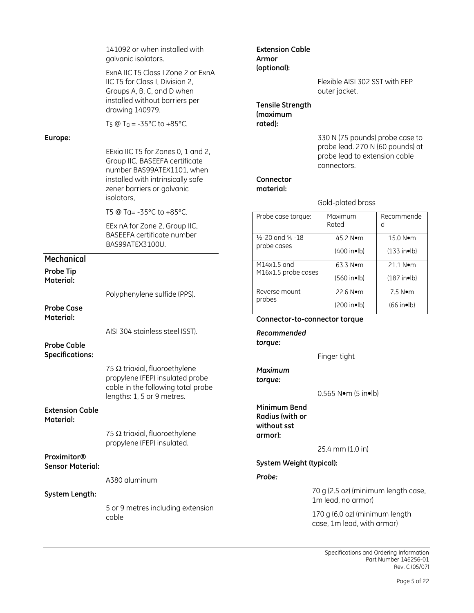|                                     | 141092 or when installed with<br>galvanic isolators.<br>ExnA IIC T5 Class I Zone 2 or ExnA<br>IIC T5 for Class I, Division 2,<br>Groups A, B, C, and D when<br>installed without barriers per<br>drawing 140979.<br>T <sub>5</sub> @ T <sub>a</sub> = -35 °C to +85 °C. | <b>Extension Cable</b><br>Armor<br>(optional):<br><b>Tensile Strength</b><br><i>(maximum</i><br>rated):                   |  | Flexible AISI 302 SST with FEP<br>outer jacket.                                                                     |                         |  |
|-------------------------------------|-------------------------------------------------------------------------------------------------------------------------------------------------------------------------------------------------------------------------------------------------------------------------|---------------------------------------------------------------------------------------------------------------------------|--|---------------------------------------------------------------------------------------------------------------------|-------------------------|--|
| Europe:                             | EExia IIC T5 for Zones 0, 1 and 2,<br>Group IIC, BASEEFA certificate<br>number BAS99ATEX1101, when<br>installed with intrinsically safe<br>zener barriers or galvanic<br>isolators,                                                                                     | Connector<br>material:                                                                                                    |  | 330 N (75 pounds) probe case to<br>probe lead. 270 N (60 pounds) at<br>probe lead to extension cable<br>connectors. |                         |  |
|                                     |                                                                                                                                                                                                                                                                         |                                                                                                                           |  | Gold-plated brass                                                                                                   |                         |  |
|                                     | T5 @ Ta= -35°C to +85°C.<br>EEx nA for Zone 2, Group IIC,                                                                                                                                                                                                               | Probe case torque:                                                                                                        |  | Maximum<br>Rated                                                                                                    | Recommende<br>d         |  |
|                                     | <b>BASEEFA certificate number</b><br>BAS99ATEX3100U.                                                                                                                                                                                                                    | $\frac{1}{2}$ -20 and $\frac{5}{8}$ -18                                                                                   |  | 45.2 Nom                                                                                                            | 15.0 Nom                |  |
| Mechanical                          |                                                                                                                                                                                                                                                                         | probe cases                                                                                                               |  | (400 in <b>lb</b> )                                                                                                 | $(133$ in•lb)           |  |
| <b>Probe Tip</b>                    |                                                                                                                                                                                                                                                                         | M14x1.5 and<br>M16x1.5 probe cases                                                                                        |  | 63.3 Nom                                                                                                            | 21.1 Nom                |  |
| Material:                           |                                                                                                                                                                                                                                                                         |                                                                                                                           |  | $(560$ in $\bullet$ lb)                                                                                             | $(187$ in $\bullet$ lb) |  |
|                                     | Polyphenylene sulfide (PPS).                                                                                                                                                                                                                                            | Reverse mount<br>probes                                                                                                   |  | 22.6 Nom                                                                                                            | 7.5 N•m                 |  |
| <b>Probe Case</b>                   |                                                                                                                                                                                                                                                                         |                                                                                                                           |  | (200 in <b>lb</b> )                                                                                                 | $(66$ in $\bullet$ lb)  |  |
| Material:                           |                                                                                                                                                                                                                                                                         | Connector-to-connector torque                                                                                             |  |                                                                                                                     |                         |  |
| <b>Probe Cable</b>                  | AISI 304 stainless steel (SST).                                                                                                                                                                                                                                         | Recommended<br>torque:                                                                                                    |  |                                                                                                                     |                         |  |
| <b>Specifications:</b>              |                                                                                                                                                                                                                                                                         |                                                                                                                           |  | Finger tight                                                                                                        |                         |  |
|                                     | 75 $\Omega$ triaxial, fluoroethylene<br>propylene (FEP) insulated probe<br>cable in the following total probe<br>lengths: 1, 5 or 9 metres.                                                                                                                             | <b>Maximum</b><br>torque:                                                                                                 |  | $0.565$ N $\bullet$ m (5 in $\bullet$ lb)                                                                           |                         |  |
| <b>Extension Cable</b><br>Material: | 75 $\Omega$ triaxial, fluoroethylene<br>propylene (FEP) insulated.                                                                                                                                                                                                      | Minimum Bend<br>Radius (with or<br>without sst<br>armor):                                                                 |  |                                                                                                                     |                         |  |
| Proximitor®                         |                                                                                                                                                                                                                                                                         |                                                                                                                           |  | 25.4 mm (1.0 in)                                                                                                    |                         |  |
| <b>Sensor Material:</b>             |                                                                                                                                                                                                                                                                         | System Weight (typical):                                                                                                  |  |                                                                                                                     |                         |  |
|                                     | A380 aluminum                                                                                                                                                                                                                                                           | Probe:                                                                                                                    |  |                                                                                                                     |                         |  |
| System Length:                      |                                                                                                                                                                                                                                                                         | 70 g (2.5 oz) (minimum length case,<br>1m lead, no armor)<br>170 g (6.0 oz) (minimum length<br>case, 1m lead, with armor) |  |                                                                                                                     |                         |  |
|                                     | 5 or 9 metres including extension<br>cable                                                                                                                                                                                                                              |                                                                                                                           |  |                                                                                                                     |                         |  |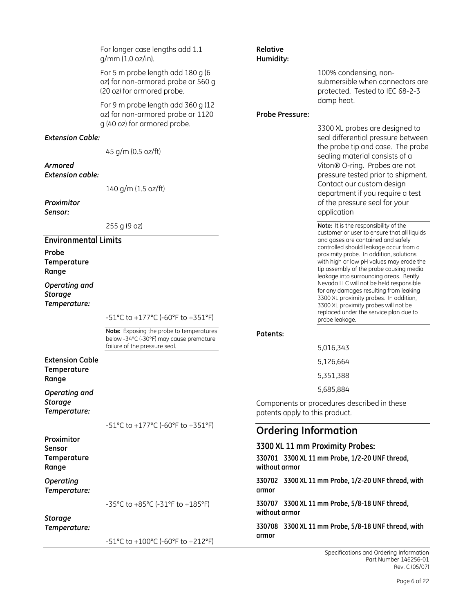|                                                 | For longer case lengths add 1.1<br>g/mm (1.0 oz/in).                                                                 | Relative<br>Humidity:          |                                                                                                                                                                                                                    |
|-------------------------------------------------|----------------------------------------------------------------------------------------------------------------------|--------------------------------|--------------------------------------------------------------------------------------------------------------------------------------------------------------------------------------------------------------------|
|                                                 | For 5 m probe length add 180 g (6<br>oz) for non-armored probe or 560 g<br>(20 oz) for armored probe.                |                                | 100% condensing, non-<br>submersible when connectors are<br>protected. Tested to IEC 68-2-3                                                                                                                        |
|                                                 | For 9 m probe length add 360 g (12<br>oz) for non-armored probe or 1120<br>g (40 oz) for armored probe.              | <b>Probe Pressure:</b>         | damp heat.                                                                                                                                                                                                         |
| <b>Extension Cable:</b>                         |                                                                                                                      |                                | 3300 XL probes are designed to<br>seal differential pressure between                                                                                                                                               |
|                                                 | 45 g/m (0.5 oz/ft)                                                                                                   |                                | the probe tip and case. The probe<br>sealing material consists of a                                                                                                                                                |
| Armored                                         |                                                                                                                      |                                | Viton® O-ring. Probes are not                                                                                                                                                                                      |
| <b>Extension cable:</b>                         |                                                                                                                      |                                | pressure tested prior to shipment.<br>Contact our custom design                                                                                                                                                    |
|                                                 | 140 g/m (1.5 oz/ft)                                                                                                  |                                | department if you require a test                                                                                                                                                                                   |
| Proximitor<br>Sensor:                           |                                                                                                                      |                                | of the pressure seal for your<br>application                                                                                                                                                                       |
|                                                 | 255 g (9 oz)                                                                                                         |                                | Note: It is the responsibility of the<br>customer or user to ensure that all liquids                                                                                                                               |
| <b>Environmental Limits</b>                     |                                                                                                                      |                                | and gases are contained and safely                                                                                                                                                                                 |
| Probe<br>Temperature<br>Range                   |                                                                                                                      |                                | controlled should leakage occur from a<br>proximity probe. In addition, solutions<br>with high or low pH values may erode the<br>tip assembly of the probe causing media<br>leakage into surrounding areas. Bently |
| Operating and<br><b>Storage</b><br>Temperature: |                                                                                                                      |                                | Nevada LLC will not be held responsible<br>for any damages resulting from leaking<br>3300 XL proximity probes. In addition,<br>3300 XL proximity probes will not be<br>replaced under the service plan due to      |
|                                                 | -51°C to +177°C (-60°F to +351°F)                                                                                    |                                | probe leakage.                                                                                                                                                                                                     |
|                                                 | Note: Exposing the probe to temperatures<br>below -34°C (-30°F) may cause premature<br>failure of the pressure seal. | Patents:                       | 5,016,343                                                                                                                                                                                                          |
| <b>Extension Cable</b>                          |                                                                                                                      |                                | 5,126,664                                                                                                                                                                                                          |
| Temperature                                     |                                                                                                                      |                                | 5,351,388                                                                                                                                                                                                          |
| Range                                           |                                                                                                                      |                                | 5,685,884                                                                                                                                                                                                          |
| Operating and<br><b>Storage</b><br>Temperature: |                                                                                                                      | patents apply to this product. | Components or procedures described in these                                                                                                                                                                        |
|                                                 | -51°C to +177°C (-60°F to +351°F)                                                                                    | <b>Ordering Information</b>    |                                                                                                                                                                                                                    |
| Proximitor                                      |                                                                                                                      |                                | 3300 XL 11 mm Proximity Probes:                                                                                                                                                                                    |
| Sensor<br>Temperature<br>Range                  |                                                                                                                      | without armor                  | 330701 3300 XL 11 mm Probe, 1/2-20 UNF thread,                                                                                                                                                                     |
| Operating<br>Temperature:                       |                                                                                                                      | armor                          | 330702 3300 XL 11 mm Probe, 1/2-20 UNF thread, with                                                                                                                                                                |
| <b>Storage</b>                                  | -35°C to +85°C (-31°F to +185°F)                                                                                     | without armor                  | 330707 3300 XL 11 mm Probe, 5/8-18 UNF thread,                                                                                                                                                                     |
| Temperature:                                    | -51°C to +100°C (-60°F to +212°F)                                                                                    | armor                          | 330708 3300 XL 11 mm Probe, 5/8-18 UNF thread, with                                                                                                                                                                |
|                                                 |                                                                                                                      |                                |                                                                                                                                                                                                                    |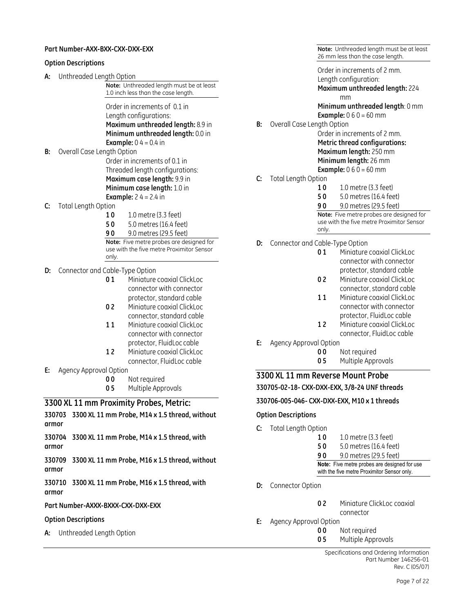#### Part Number-AXX-BXX-CXX-DXX-EXX

#### Option Descriptions

A: Unthreaded Length Option

Note: Unthreaded length must be at least 1.0 inch less than the case length.

Order in increments of 0.1 in Length configurations: Maximum unthreaded length: 8.9 in Minimum unthreaded length: 0.0 in **Example:**  $0.4 = 0.4$  in

- B: Overall Case Length Option Order in increments of 0.1 in Threaded length configurations: Maximum case length: 9.9 in Minimum case length: 1.0 in **Example:**  $24 = 2.4$  in
- C: Total Length Option
	- 10 10 metre (3.3 feet)
	- **50** 5.0 metres (16.4 feet)
	- 9 0 9.0 metres (29.5 feet)

Note: Five metre probes are designed for use with the five metre Proximitor Sensor only.

- D: Connector and Cable-Type Option
	- 01 Miniature coaxial ClickLoc connector with connector protector, standard cable
	- 02 Miniature coaxial ClickLoc connector, standard cable
	- 11 Miniature coaxial ClickLoc connector with connector protector, FluidLoc cable
	- 12 Miniature coaxial ClickLoc connector, FluidLoc cable
- E: Agency Approval Option
	- 00 Not required
	- **05** Multiple Approvals

#### 3300 XL 11 mm Proximity Probes, Metric:

330703 3300 XL 11 mm Probe, M14 x 1.5 thread, without armor

330704 3300 XL 11 mm Probe, M14 x 1.5 thread, with armor

330709 3300 XL 11 mm Probe, M16 x 1.5 thread, without armor

330710 3300 XL 11 mm Probe, M16 x 1.5 thread, with armor

#### Part Number-AXXX-BXXX-CXX-DXX-EXX

#### Option Descriptions

A: Unthreaded Length Option

Note: Unthreaded length must be at least 26 mm less than the case length.

Order in increments of 2 mm. Length configuration: Maximum unthreaded length: 224 mm Minimum unthreaded length: 0 mm **Example:**  $0 6 0 = 60$  mm

B: Overall Case Length Option Order in increments of 2 mm.

Metric thread configurations: Maximum length: 250 mm Minimum length: 26 mm

**Example:**  $0 6 0 = 60$  mm

- C: Total Length Option
	- **10** 1.0 metre (3.3 feet)
	- 5 0 5.0 metres (16.4 feet)
	- 9 0 9.0 metres (29.5 feet)

Note: Five metre probes are designed for use with the five metre Proximitor Sensor only.

D: Connector and Cable-Type Option

| 01 | Miniature coaxial ClickLoc |
|----|----------------------------|
|    | connector with connector   |
|    | protector, standard cable  |
| 02 | Miniature coaxial ClickLoc |
|    | connector, standard cable  |
| 11 | Miniature coaxial ClickLoc |
|    | connector with connector   |
|    | protector, FluidLoc cable  |
| 12 | Miniature coaxial ClickLoc |
|    | connector, FluidLoc cable  |

- E: Agency Approval Option
	- **00** Not required 05 Multiple Approvals
	-

3300 XL 11 mm Reverse Mount Probe

330705-02-18- CXX-DXX-EXX, 3/8-24 UNF threads

330706-005-046- CXX-DXX-EXX, M10 x 1 threads

#### Option Descriptions

- C: Total Length Option
	- 10 1.0 metre (3.3 feet) 5 0 5.0 metres (16.4 feet) 9 0 9.0 metres (29.5 feet) Note: Five metre probes are designed for use with the five metre Proximitor Sensor only.
- **D:** Connector Option
	- 02 Miniature ClickLoc coaxial
	- connector
- E: Agency Approval Option
	- **00** Not required
	- **05** Multiple Approvals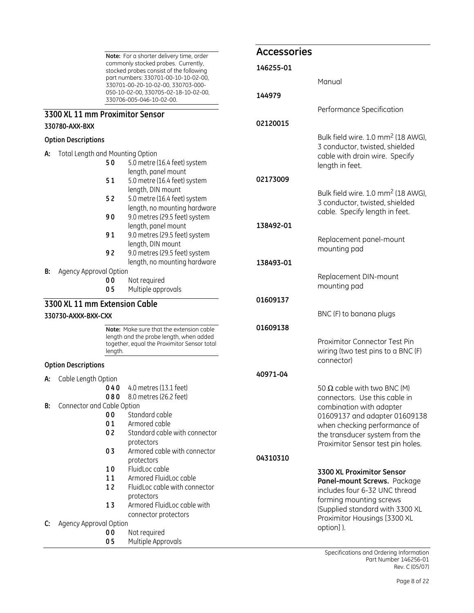Note: For a shorter delivery time, order commonly stocked probes. Currently, stocked probes consist of the following part numbers: 330701-00-10-10-02-00, 330701-00-20-10-02-00, 330703-000- 050-10-02-00, 330705-02-18-10-02-00, 330706-005-046-10-02-00.

### 3300 XL 11 mm Proximitor Sensor

#### 330780-AXX-BXX

#### Option Descriptions

- A: Total Length and Mounting Option
	- 5 0 5.0 metre (16.4 feet) system length, panel mount
	- **51** 5.0 metre (16.4 feet) system length, DIN mount
	- 5 2 5.0 metre (16.4 feet) system length, no mounting hardware
	- 90 9.0 metres (29.5 feet) system length, panel mount
	- 91 9.0 metres (29.5 feet) system length, DIN mount
	- 9 2 9.0 metres (29.5 feet) system length, no mounting hardware

#### B: Agency Approval Option

- 00 Not required
- 05 Multiple approvals

#### 3300 XL 11 mm Extension Cable

330730-AXXX-BXX-CXX

Note: Make sure that the extension cable length and the probe length, when added together, equal the Proximitor Sensor total length.

#### Option Descriptions

A: Cable Length Option

0 4 0 4.0 metres (13.1 feet)

- **0 8 0** 8.0 metres (26.2 feet)
- B: Connector and Cable Option
	- 00 Standard cable
	- 01 Armored cable
	- 0 2 Standard cable with connector protectors
	- 0 3 Armored cable with connector protectors
	- 10 FluidLoc cable
	- 11 Armored FluidLoc cable
	- 12 FluidLoc cable with connector protectors 13 Armored FluidLoc cable with
	- connector protectors
- C: Agency Approval Option
	- 00 Not required
		- **05** Multiple Approvals

#### Accessories

| 146255-01 |                                                                                                                                                                                                                                         |
|-----------|-----------------------------------------------------------------------------------------------------------------------------------------------------------------------------------------------------------------------------------------|
|           | Manual                                                                                                                                                                                                                                  |
| 144979    |                                                                                                                                                                                                                                         |
|           | Performance Specification                                                                                                                                                                                                               |
| 02120015  |                                                                                                                                                                                                                                         |
|           | Bulk field wire. 1.0 mm <sup>2</sup> (18 AWG),<br>3 conductor, twisted, shielded<br>cable with drain wire. Specify<br>length in feet.                                                                                                   |
| 02173009  |                                                                                                                                                                                                                                         |
|           | Bulk field wire. 1.0 mm <sup>2</sup> (18 AWG),<br>3 conductor, twisted, shielded<br>cable. Specify length in feet.                                                                                                                      |
| 138492-01 |                                                                                                                                                                                                                                         |
|           | Replacement panel-mount<br>mounting pad                                                                                                                                                                                                 |
| 138493-01 |                                                                                                                                                                                                                                         |
|           | Replacement DIN-mount<br>mounting pad                                                                                                                                                                                                   |
| 01609137  |                                                                                                                                                                                                                                         |
|           | BNC (F) to banana plugs                                                                                                                                                                                                                 |
| 01609138  |                                                                                                                                                                                                                                         |
|           | Proximitor Connector Test Pin<br>wiring (two test pins to a BNC (F)<br>connector)                                                                                                                                                       |
| 40971-04  |                                                                                                                                                                                                                                         |
|           | 50 $\Omega$ cable with two BNC (M)<br>connectors. Use this cable in<br>combination with adapter<br>01609137 and adapter 01609138<br>when checking performance of<br>the transducer system from the<br>Proximitor Sensor test pin holes. |
| 04310310  |                                                                                                                                                                                                                                         |
|           | 3300 XL Proximitor Sensor<br>Panel-mount Screws. Package<br>includes four 6-32 UNC thread<br>forming mounting screws<br>(Supplied standard with 3300 XL<br>Proximitor Housings [3300 XL                                                 |

Specifications and Ordering Information Part Number 146256-01 Rev. C (05/07)

option] ).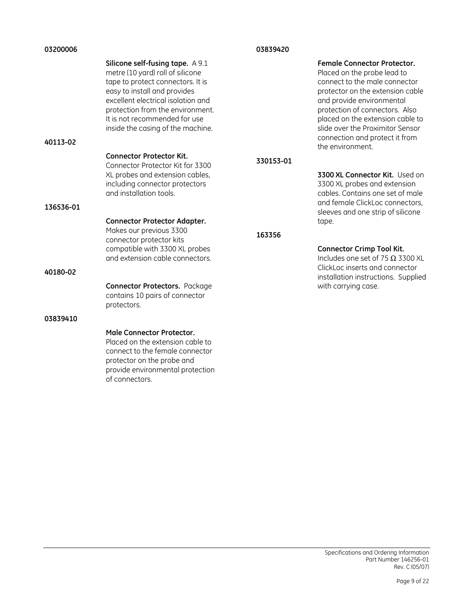| 03200006  |                                                                                                                                                                                                                                                                                           | 03839420  |                                                                                                                                                                                                                                                                                                                                     |  |
|-----------|-------------------------------------------------------------------------------------------------------------------------------------------------------------------------------------------------------------------------------------------------------------------------------------------|-----------|-------------------------------------------------------------------------------------------------------------------------------------------------------------------------------------------------------------------------------------------------------------------------------------------------------------------------------------|--|
| 40113-02  | Silicone self-fusing tape. A 9.1<br>metre (10 yard) roll of silicone<br>tape to protect connectors. It is<br>easy to install and provides<br>excellent electrical isolation and<br>protection from the environment.<br>It is not recommended for use<br>inside the casing of the machine. |           | <b>Female Connector Protector.</b><br>Placed on the probe lead to<br>connect to the male connector<br>protector on the extension cable<br>and provide environmental<br>protection of connectors. Also<br>placed on the extension cable to<br>slide over the Proximitor Sensor<br>connection and protect it from<br>the environment. |  |
|           | <b>Connector Protector Kit.</b><br>Connector Protector Kit for 3300                                                                                                                                                                                                                       | 330153-01 |                                                                                                                                                                                                                                                                                                                                     |  |
|           | XL probes and extension cables,<br>including connector protectors<br>and installation tools.                                                                                                                                                                                              |           | 3300 XL Connector Kit. Used on<br>3300 XL probes and extension<br>cables. Contains one set of male<br>and female ClickLoc connectors,                                                                                                                                                                                               |  |
| 136536-01 |                                                                                                                                                                                                                                                                                           |           | sleeves and one strip of silicone                                                                                                                                                                                                                                                                                                   |  |
|           | <b>Connector Protector Adapter.</b><br>Makes our previous 3300<br>connector protector kits<br>compatible with 3300 XL probes<br>and extension cable connectors.                                                                                                                           | 163356    | tape.<br><b>Connector Crimp Tool Kit.</b><br>Includes one set of 75 $\Omega$ 3300 XL                                                                                                                                                                                                                                                |  |
| 40180-02  |                                                                                                                                                                                                                                                                                           |           | ClickLoc inserts and connector<br>installation instructions. Supplied                                                                                                                                                                                                                                                               |  |
|           | <b>Connector Protectors.</b> Package<br>contains 10 pairs of connector<br>protectors.                                                                                                                                                                                                     |           | with carrying case.                                                                                                                                                                                                                                                                                                                 |  |
| 03839410  |                                                                                                                                                                                                                                                                                           |           |                                                                                                                                                                                                                                                                                                                                     |  |
|           | <b>Male Connector Protector.</b><br>Placed on the extension cable to<br>connect to the female connector<br>protector on the probe and<br>provide environmental protection                                                                                                                 |           |                                                                                                                                                                                                                                                                                                                                     |  |

of connectors.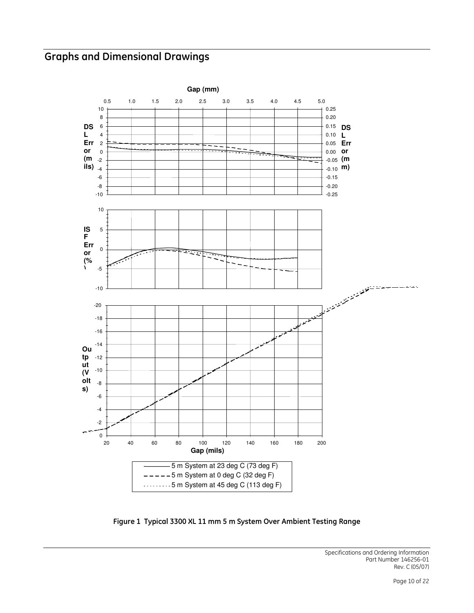### Graphs and Dimensional Drawings



Figure 1 Typical 3300 XL 11 mm 5 m System Over Ambient Testing Range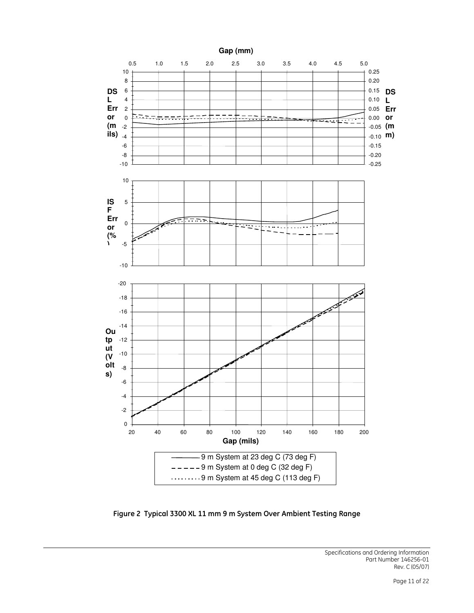

Figure 2 Typical 3300 XL 11 mm 9 m System Over Ambient Testing Range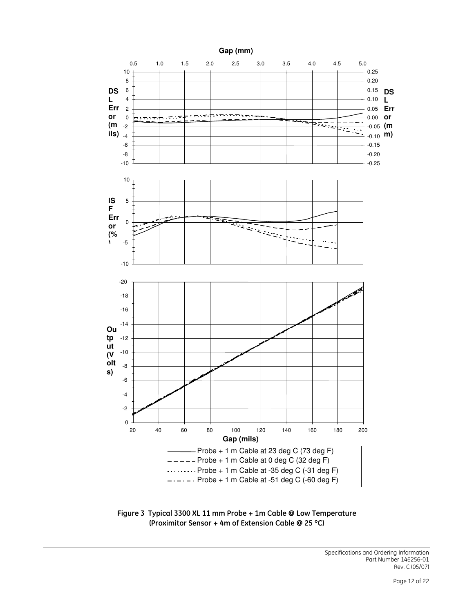

Figure 3 Typical 3300 XL 11 mm Probe + 1m Cable @ Low Temperature (Proximitor Sensor + 4m of Extension Cable @ 25 °C)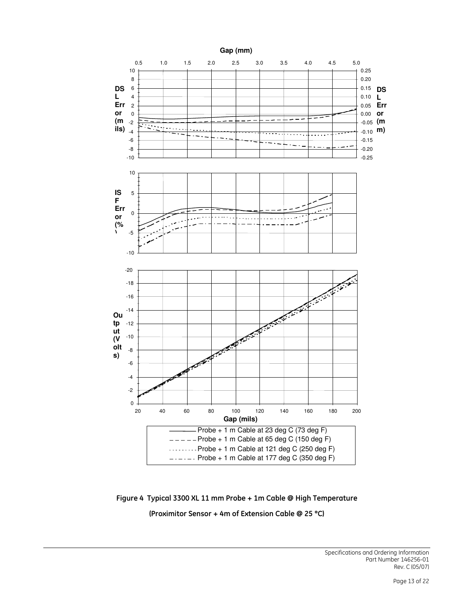

Figure 4 Typical 3300 XL 11 mm Probe + 1m Cable @ High Temperature (Proximitor Sensor + 4m of Extension Cable @ 25 °C)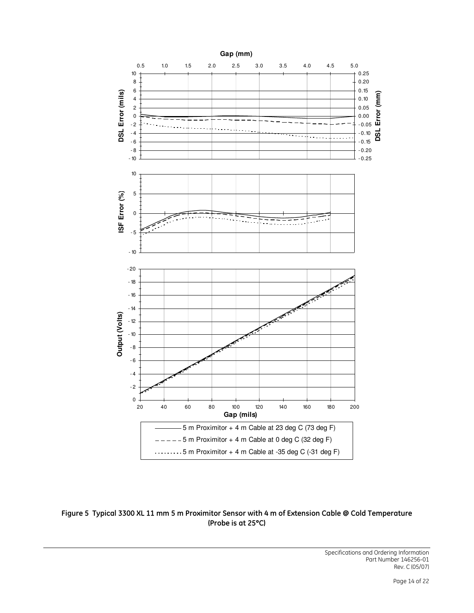

Figure 5 Typical 3300 XL 11 mm 5 m Proximitor Sensor with 4 m of Extension Cable @ Cold Temperature (Probe is at 25°C)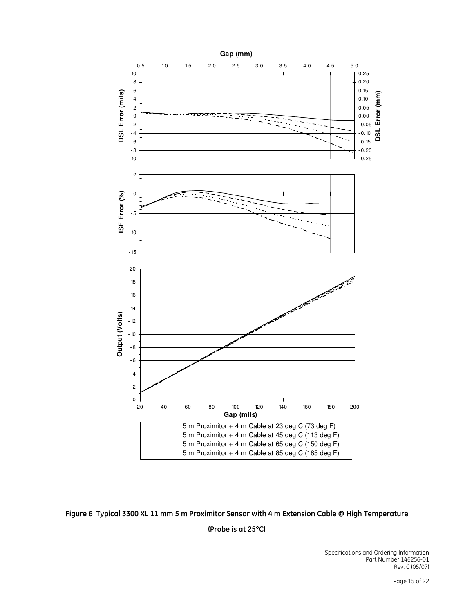

Figure 6 Typical 3300 XL 11 mm 5 m Proximitor Sensor with 4 m Extension Cable @ High Temperature

(Probe is at 25°C)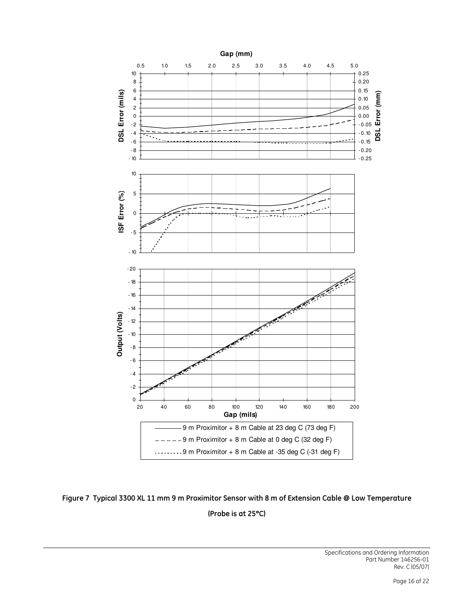

Figure 7 Typical 3300 XL 11 mm 9 m Proximitor Sensor with 8 m of Extension Cable @ Low Temperature (Probe is at 25°C)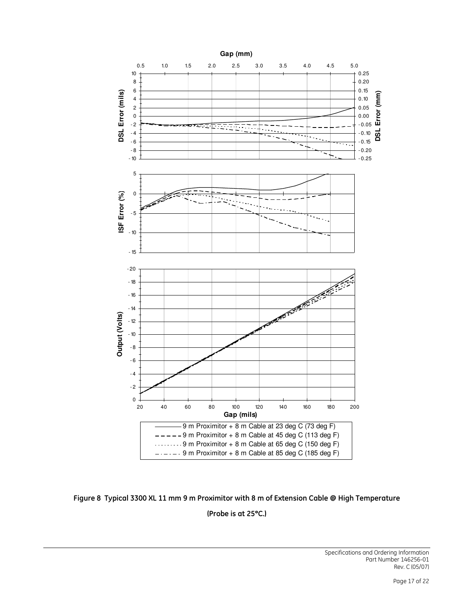

Figure 8 Typical 3300 XL 11 mm 9 m Proximitor with 8 m of Extension Cable @ High Temperature (Probe is at 25°C.)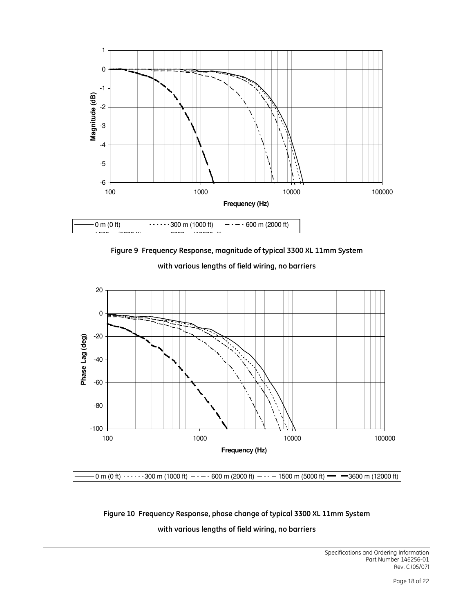

Figure 9 Frequency Response, magnitude of typical 3300 XL 11mm System



with various lengths of field wiring, no barriers

# Figure 10 Frequency Response, phase change of typical 3300 XL 11mm System

with various lengths of field wiring, no barriers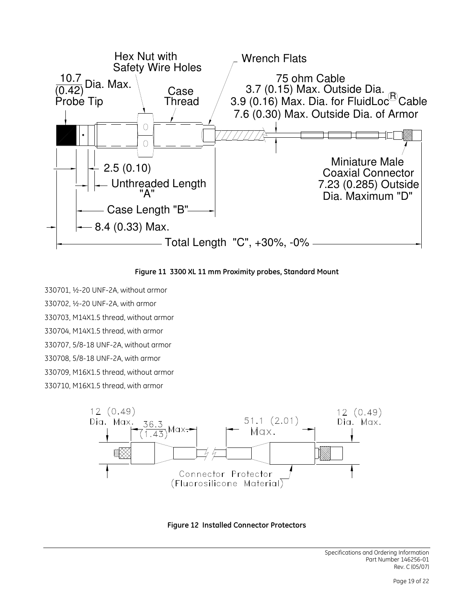

Figure 11 3300 XL 11 mm Proximity probes, Standard Mount

330701, ½-20 UNF-2A, without armor 330702, ½-20 UNF-2A, with armor 330703, M14X1.5 thread, without armor 330704, M14X1.5 thread, with armor 330707, 5/8-18 UNF-2A, without armor 330708, 5/8-18 UNF-2A, with armor 330709, M16X1.5 thread, without armor 330710, M16X1.5 thread, with armor



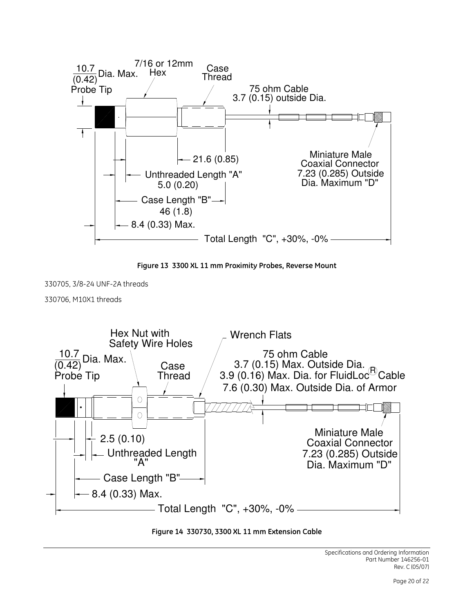



330705, 3/8-24 UNF-2A threads

330706, M10X1 threads



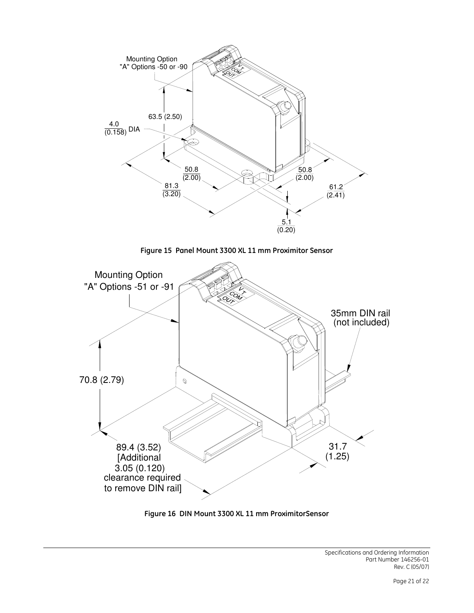

Figure 15 Panel Mount 3300 XL 11 mm Proximitor Sensor



Figure 16 DIN Mount 3300 XL 11 mm ProximitorSensor